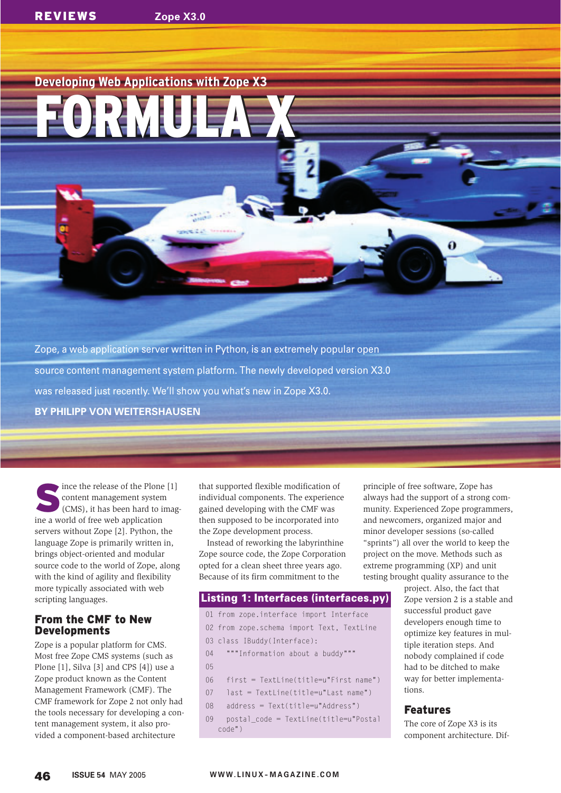## **Developing Web Applications with Zope X3**

FORMULA X

FORMULA X

Zope, a web application server written in Python, is an extremely popular open source content management system platform. The newly developed version X3.0 was released just recently. We'll show you what's new in Zope X3.0. **BY PHILIPP VON WEITERSHAUSEN**

Since the release of the Plone [1]<br>
Content management system<br>
(CMS), it has been hard to imag-<br>
in a world of free web application content management system ine a world of free web application servers without Zope [2]. Python, the language Zope is primarily written in, brings object-oriented and modular source code to the world of Zope, along with the kind of agility and flexibility more typically associated with web scripting languages.

## From the CMF to New Developments

Zope is a popular platform for CMS. Most free Zope CMS systems (such as Plone [1], Silva [3] and CPS [4]) use a Zope product known as the Content Management Framework (CMF). The CMF framework for Zope 2 not only had the tools necessary for developing a content management system, it also provided a component-based architecture

that supported flexible modification of individual components. The experience gained developing with the CMF was then supposed to be incorporated into the Zope development process.

Instead of reworking the labyrinthine Zope source code, the Zope Corporation opted for a clean sheet three years ago. Because of its firm commitment to the

### **Listing 1: Interfaces (interfaces.py)**

- 01 from zope.interface import Interface
- 02 from zope.schema import Text, TextLine
- 03 class IBuddy(Interface):
- 04 """Information about a buddy"""
- 05
- 06 first = TextLine(title=u"First name")
- 07 last = TextLine(title=u"Last name")
- 08 address = Text(title=u"Address")
- 09 postal\_code = TextLine(title=u"Postal code")

principle of free software, Zope has always had the support of a strong community. Experienced Zope programmers, and newcomers, organized major and minor developer sessions (so-called "sprints") all over the world to keep the project on the move. Methods such as extreme programming (XP) and unit testing brought quality assurance to the

> project. Also, the fact that Zope version 2 is a stable and successful product gave developers enough time to optimize key features in multiple iteration steps. And nobody complained if code had to be ditched to make way for better implementations.

#### Features

The core of Zope X3 is its component architecture. Dif-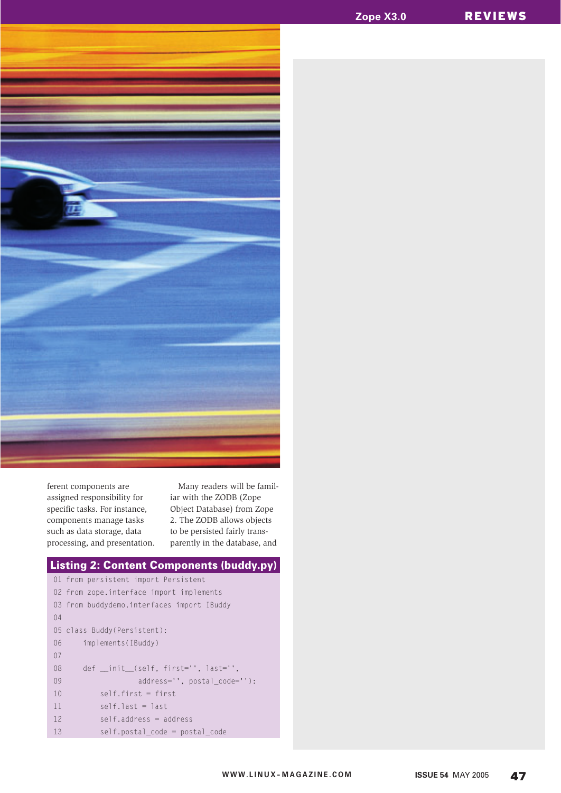

ferent components are assigned responsibility for specific tasks. For instance, components manage tasks such as data storage, data processing, and presentation.

Many readers will be familiar with the ZODB (Zope Object Database) from Zope 2. The ZODB allows objects to be persisted fairly transparently in the database, and

```
01 from persistent import Persistent
02 from zope.interface import implements
03 from buddydemo.interfaces import IBuddy
04
05 class Buddy(Persistent):
06 implements(IBuddy)
07
08 def __init_(self, first='', last='',
09 address='', postal_code=''):
10 self.first = first
11 self.last = last
12 self.address = address
13 self.postal_code = postal_code
Listing 2: Content Components (buddy.py)
```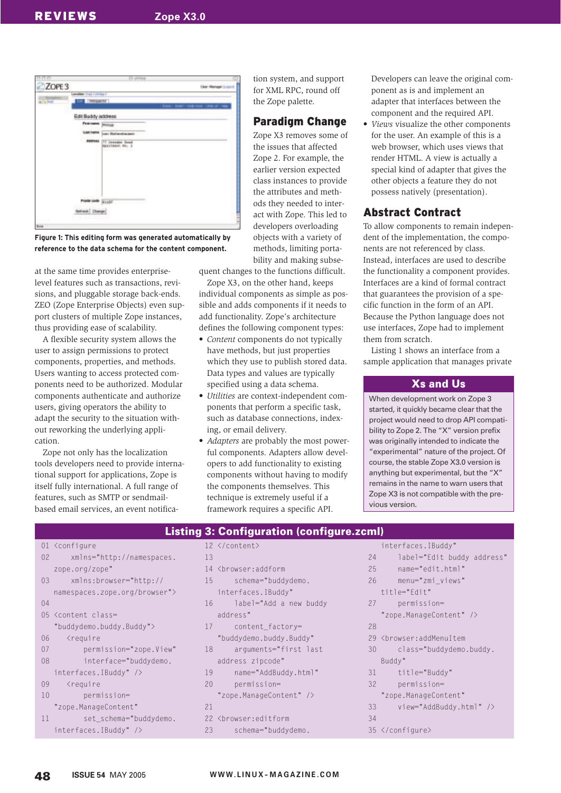

**Figure 1: This editing form was generated automatically by reference to the data schema for the content component.**

at the same time provides enterpriselevel features such as transactions, revisions, and pluggable storage back-ends. ZEO (Zope Enterprise Objects) even support clusters of multiple Zope instances, thus providing ease of scalability.

A flexible security system allows the user to assign permissions to protect components, properties, and methods. Users wanting to access protected components need to be authorized. Modular components authenticate and authorize users, giving operators the ability to adapt the security to the situation without reworking the underlying application.

Zope not only has the localization tools developers need to provide international support for applications, Zope is itself fully international. A full range of features, such as SMTP or sendmailbased email services, an event notifica-

tion system, and support for XML RPC, round off the Zope palette.

## Paradigm Change

Zope X3 removes some of the issues that affected Zope 2. For example, the earlier version expected class instances to provide the attributes and methods they needed to interact with Zope. This led to developers overloading objects with a variety of methods, limiting portability and making subse-

quent changes to the functions difficult.

Zope X3, on the other hand, keeps individual components as simple as possible and adds components if it needs to add functionality. Zope's architecture defines the following component types:

- *Content* components do not typically have methods, but just properties which they use to publish stored data. Data types and values are typically specified using a data schema.
- *Utilities* are context-independent components that perform a specific task, such as database connections, indexing, or email delivery.
- *Adapters* are probably the most powerful components. Adapters allow developers to add functionality to existing components without having to modify the components themselves. This technique is extremely useful if a framework requires a specific API.

Developers can leave the original component as is and implement an adapter that interfaces between the component and the required API.

• *Views* visualize the other components for the user. An example of this is a web browser, which uses views that render HTML. A view is actually a special kind of adapter that gives the other objects a feature they do not possess natively (presentation).

# Abstract Contract

To allow components to remain independent of the implementation, the components are not referenced by class. Instead, interfaces are used to describe the functionality a component provides. Interfaces are a kind of formal contract that guarantees the provision of a specific function in the form of an API. Because the Python language does not use interfaces, Zope had to implement them from scratch.

Listing 1 shows an interface from a sample application that manages private

#### **Xs and Us**

When development work on Zope 3 started, it quickly became clear that the project would need to drop API compatibility to Zope 2. The "X" version prefix was originally intended to indicate the "experimental" nature of the project. Of course, the stable Zope X3.0 version is anything but experimental, but the "X" remains in the name to warn users that Zope X3 is not compatible with the previous version.

#### **Listing 3: Configuration (configure.zcml)**

|    | 01 <configure< th=""><th>12 &lt;</th><th></th></configure<>                   | 12 <      |                   |
|----|-------------------------------------------------------------------------------|-----------|-------------------|
| 02 | xmlns="http://namespaces.                                                     | 13        |                   |
|    | zope.org/zope"                                                                | 14 <      |                   |
| 03 | xmlns:browser="http://                                                        | 15        |                   |
|    | namespaces.zope.org/browser">                                                 |           | iı                |
| 04 |                                                                               | 16        |                   |
|    | 05 <content class="&lt;/td"><td></td><td><math>\partial</math></td></content> |           | $\partial$        |
|    | "buddydemo.buddy.Buddy">                                                      | 17        |                   |
| 06 | <require< td=""><td></td><td>" </td></require<>                               |           | "                 |
| 07 | permission="zope.View"                                                        | 18        |                   |
| 08 | interface="buddydemo.                                                         |           | $\partial$        |
|    | interfaces. IBuddy" />                                                        | 19        |                   |
| 09 | <require< td=""><td>20</td><td></td></require<>                               | 20        |                   |
| 10 | permission=                                                                   |           | $^{\prime\prime}$ |
|    | "zope.ManageContent"                                                          | 21        |                   |
| 11 | set_schema="buddydemo.                                                        | $22 \leq$ |                   |
|    | interfaces. IBuddy" />                                                        | 23        |                   |
|    |                                                                               |           |                   |

|    | ну ә. ооннушанон (сонну                          |
|----|--------------------------------------------------|
|    | 12                                               |
| 13 |                                                  |
|    | 14 <browser:addform< td=""></browser:addform<>   |
| 15 | schema="buddydemo.                               |
|    | interfaces. IBuddy"                              |
| 16 | label="Add a new buddy                           |
|    | address"                                         |
| 17 | content_factory=                                 |
|    | "buddydemo.buddy.Buddy"                          |
| 18 | arguments="first last                            |
|    | address zipcode"                                 |
| 19 | name="AddBuddy.html"                             |
| 20 | permission=                                      |
|    | "zope.ManageContent" />                          |
| 21 |                                                  |
|    | 22 <browser:editform< td=""></browser:editform<> |
| 23 | schema="buddydemo.                               |
|    |                                                  |

|    | interfaces. IBuddy"                                 |
|----|-----------------------------------------------------|
| 24 | label="Edit buddy address"                          |
| 25 | name="edit.html"                                    |
| 26 | menu="zmi views"                                    |
|    | title="Fdit"                                        |
| 27 | permission=                                         |
|    | "zope.ManageContent" />                             |
| 28 |                                                     |
| 29 | <browser:addmenuitem< td=""></browser:addmenuitem<> |
| 30 | class="buddydemo.buddy.                             |
|    | Buddy"                                              |
| 31 | title="Buddy"                                       |
| 32 | permission=                                         |
|    | "zope.ManageContent"                                |
| 33 | view="AddBuddy.html" />                             |
| 34 |                                                     |
|    | 35                                                  |
|    |                                                     |